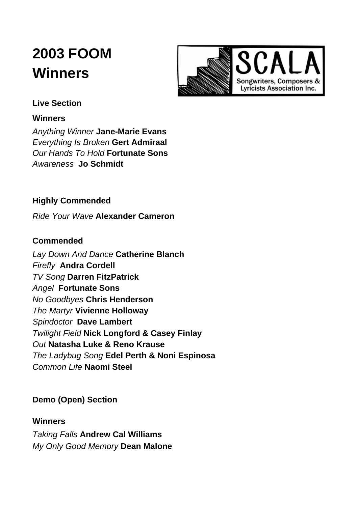# **2003 FOOM Winners**



# **Live Section**

#### **Winners**

*Anything Winner* **Jane-Marie Evans** *Everything Is Broken* **Gert Admiraal** *Our Hands To Hold* **Fortunate Sons** *Awareness* **Jo Schmidt**

# **Highly Commended**

*Ride Your Wave* **Alexander Cameron**

#### **Commended**

*Lay Down And Dance* **Catherine Blanch** *Firefly* **Andra Cordell** *TV Song* **Darren FitzPatrick** *Angel* **Fortunate Sons** *No Goodbyes* **Chris Henderson** *The Martyr* **Vivienne Holloway** *Spindoctor* **Dave Lambert** *Twilight Field* **Nick Longford & Casey Finlay** *Out* **Natasha Luke & Reno Krause** *The Ladybug Song* **Edel Perth & Noni Espinosa** *Common Life* **Naomi Steel**

# **Demo (Open) Section**

#### **Winners**

*Taking Falls* **Andrew Cal Williams** *My Only Good Memory* **Dean Malone**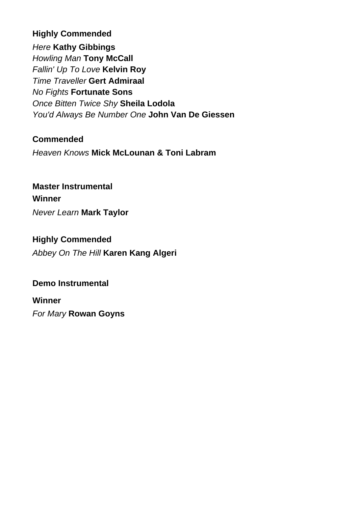# **Highly Commended**

*Here* **Kathy Gibbings** *Howling Man* **Tony McCall** *Fallin' Up To Love* **Kelvin Roy** *Time Traveller* **Gert Admiraal** *No Fights* **Fortunate Sons** *Once Bitten Twice Shy* **Sheila Lodola** *You'd Always Be Number One* **John Van De Giessen**

### **Commended**

*Heaven Knows* **Mick McLounan & Toni Labram**

# **Master Instrumental Winner**

*Never Learn* **Mark Taylor**

# **Highly Commended** *Abbey On The Hill* **Karen Kang Algeri**

#### **Demo Instrumental**

#### **Winner**

*For Mary* **Rowan Goyns**